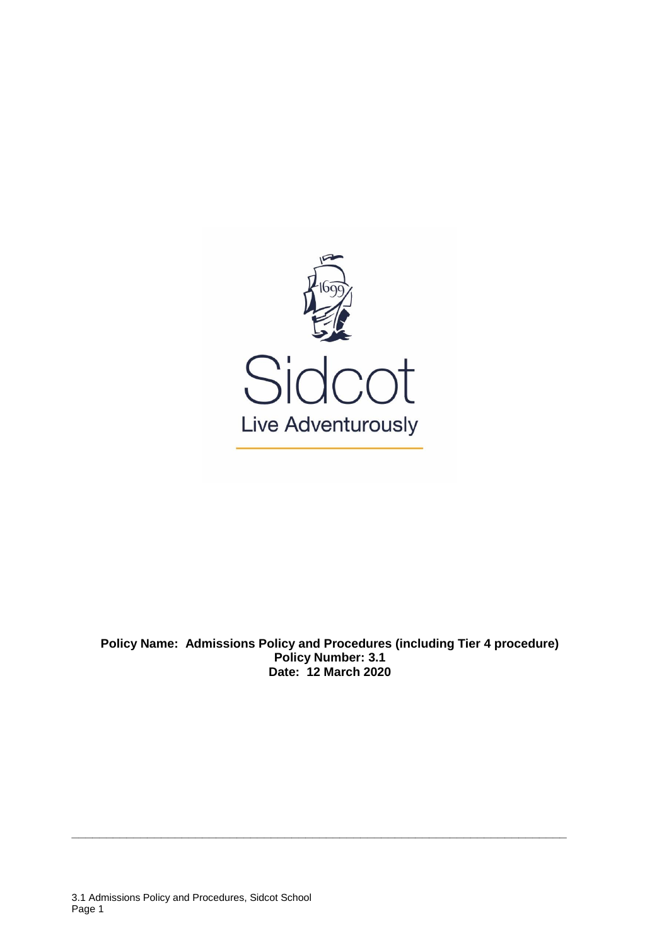

**Policy Name: Admissions Policy and Procedures (including Tier 4 procedure) Policy Number: 3.1 Date: 12 March 2020**

**\_\_\_\_\_\_\_\_\_\_\_\_\_\_\_\_\_\_\_\_\_\_\_\_\_\_\_\_\_\_\_\_\_\_\_\_\_\_\_\_\_\_\_\_\_\_\_\_\_\_\_\_\_\_\_\_\_\_\_\_\_\_\_\_\_\_\_\_\_\_\_\_**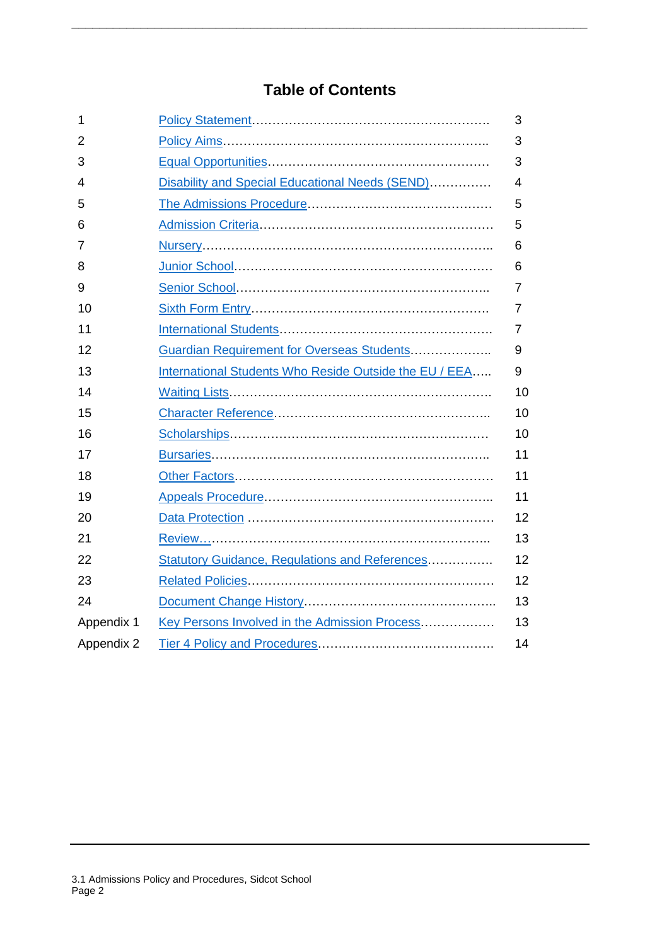# **Table of Contents**

**\_\_\_\_\_\_\_\_\_\_\_\_\_\_\_\_\_\_\_\_\_\_\_\_\_\_\_\_\_\_\_\_\_\_\_\_\_\_\_\_\_\_\_\_\_\_\_\_\_\_\_\_\_\_\_\_\_\_\_\_\_\_\_\_\_\_\_\_\_\_\_\_\_\_\_**

| 1          |                                                        | 3              |
|------------|--------------------------------------------------------|----------------|
| 2          |                                                        | 3              |
| 3          |                                                        | 3              |
| 4          | Disability and Special Educational Needs (SEND)        | $\overline{4}$ |
| 5          |                                                        | 5              |
| 6          |                                                        | 5              |
| 7          |                                                        | 6              |
| 8          |                                                        | 6              |
| 9          |                                                        | $\overline{7}$ |
| 10         |                                                        | 7              |
| 11         |                                                        | 7              |
| 12         | Guardian Requirement for Overseas Students             | 9              |
| 13         | International Students Who Reside Outside the EU / EEA | 9              |
| 14         |                                                        | 10             |
| 15         |                                                        | 10             |
| 16         |                                                        | 10             |
| 17         |                                                        | 11             |
| 18         |                                                        | 11             |
| 19         |                                                        | 11             |
| 20         |                                                        | 12             |
| 21         |                                                        | 13             |
| 22         | <b>Statutory Guidance, Regulations and References</b>  | 12             |
| 23         |                                                        | 12             |
| 24         |                                                        | 13             |
| Appendix 1 | Key Persons Involved in the Admission Process          | 13             |
| Appendix 2 |                                                        | 14             |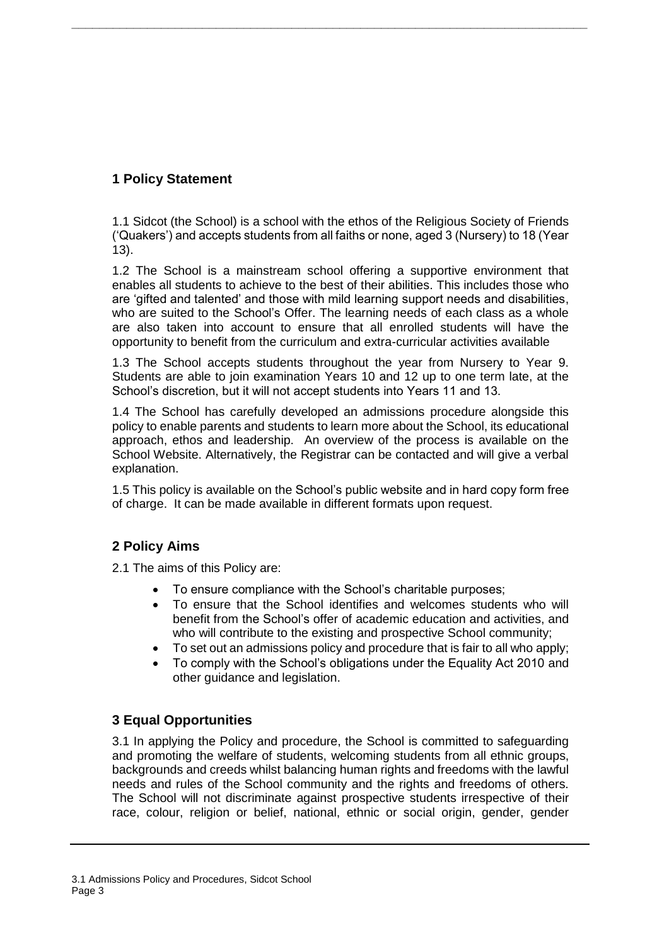## <span id="page-2-0"></span>**1 Policy Statement**

1.1 Sidcot (the School) is a school with the ethos of the Religious Society of Friends ('Quakers') and accepts students from all faiths or none, aged 3 (Nursery) to 18 (Year 13).

**\_\_\_\_\_\_\_\_\_\_\_\_\_\_\_\_\_\_\_\_\_\_\_\_\_\_\_\_\_\_\_\_\_\_\_\_\_\_\_\_\_\_\_\_\_\_\_\_\_\_\_\_\_\_\_\_\_\_\_\_\_\_\_\_\_\_\_\_\_\_\_\_\_\_\_**

1.2 The School is a mainstream school offering a supportive environment that enables all students to achieve to the best of their abilities. This includes those who are 'gifted and talented' and those with mild learning support needs and disabilities, who are suited to the School's Offer. The learning needs of each class as a whole are also taken into account to ensure that all enrolled students will have the opportunity to benefit from the curriculum and extra-curricular activities available

1.3 The School accepts students throughout the year from Nursery to Year 9. Students are able to join examination Years 10 and 12 up to one term late, at the School's discretion, but it will not accept students into Years 11 and 13.

1.4 The School has carefully developed an admissions procedure alongside this policy to enable parents and students to learn more about the School, its educational approach, ethos and leadership. An overview of the process is available on the School Website. Alternatively, the Registrar can be contacted and will give a verbal explanation.

1.5 This policy is available on the School's public website and in hard copy form free of charge. It can be made available in different formats upon request.

## <span id="page-2-1"></span>**2 Policy Aims**

2.1 The aims of this Policy are:

- To ensure compliance with the School's charitable purposes;
- To ensure that the School identifies and welcomes students who will benefit from the School's offer of academic education and activities, and who will contribute to the existing and prospective School community;
- To set out an admissions policy and procedure that is fair to all who apply;
- To comply with the School's obligations under the Equality Act 2010 and other guidance and legislation.

## <span id="page-2-2"></span>**3 Equal Opportunities**

3.1 In applying the Policy and procedure, the School is committed to safeguarding and promoting the welfare of students, welcoming students from all ethnic groups, backgrounds and creeds whilst balancing human rights and freedoms with the lawful needs and rules of the School community and the rights and freedoms of others. The School will not discriminate against prospective students irrespective of their race, colour, religion or belief, national, ethnic or social origin, gender, gender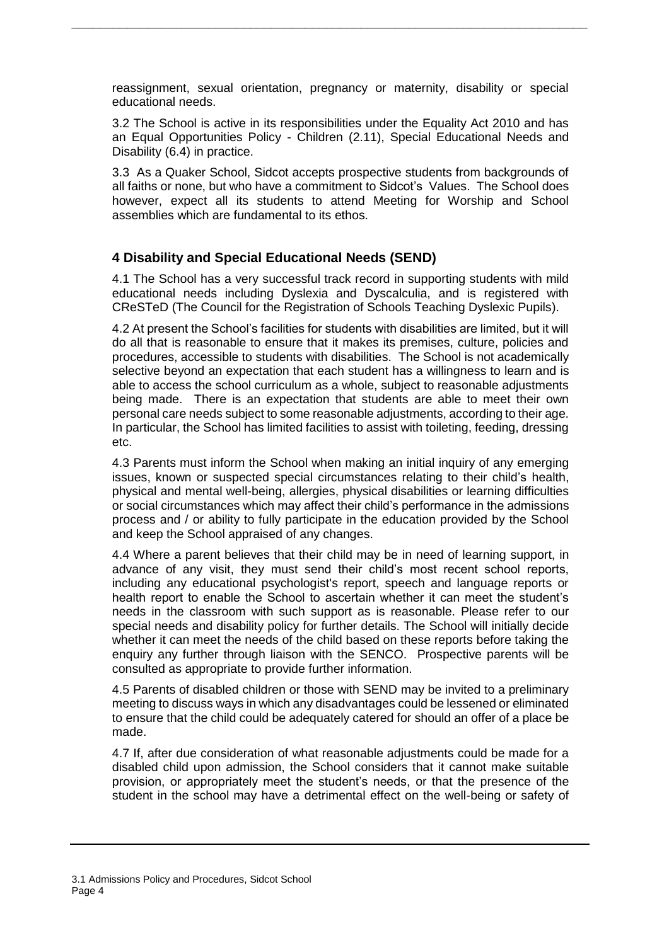reassignment, sexual orientation, pregnancy or maternity, disability or special educational needs.

**\_\_\_\_\_\_\_\_\_\_\_\_\_\_\_\_\_\_\_\_\_\_\_\_\_\_\_\_\_\_\_\_\_\_\_\_\_\_\_\_\_\_\_\_\_\_\_\_\_\_\_\_\_\_\_\_\_\_\_\_\_\_\_\_\_\_\_\_\_\_\_\_\_\_\_**

3.2 The School is active in its responsibilities under the Equality Act 2010 and has an Equal Opportunities Policy - Children (2.11), Special Educational Needs and Disability (6.4) in practice.

3.3 As a Quaker School, Sidcot accepts prospective students from backgrounds of all faiths or none, but who have a commitment to Sidcot's Values. The School does however, expect all its students to attend Meeting for Worship and School assemblies which are fundamental to its ethos.

## <span id="page-3-0"></span>**4 Disability and Special Educational Needs (SEND)**

4.1 The School has a very successful track record in supporting students with mild educational needs including Dyslexia and Dyscalculia, and is registered with CReSTeD (The Council for the Registration of Schools Teaching Dyslexic Pupils).

4.2 At present the School's facilities for students with disabilities are limited, but it will do all that is reasonable to ensure that it makes its premises, culture, policies and procedures, accessible to students with disabilities. The School is not academically selective beyond an expectation that each student has a willingness to learn and is able to access the school curriculum as a whole, subject to reasonable adjustments being made. There is an expectation that students are able to meet their own personal care needs subject to some reasonable adjustments, according to their age. In particular, the School has limited facilities to assist with toileting, feeding, dressing etc.

4.3 Parents must inform the School when making an initial inquiry of any emerging issues, known or suspected special circumstances relating to their child's health, physical and mental well-being, allergies, physical disabilities or learning difficulties or social circumstances which may affect their child's performance in the admissions process and / or ability to fully participate in the education provided by the School and keep the School appraised of any changes.

4.4 Where a parent believes that their child may be in need of learning support, in advance of any visit, they must send their child's most recent school reports, including any educational psychologist's report, speech and language reports or health report to enable the School to ascertain whether it can meet the student's needs in the classroom with such support as is reasonable. Please refer to our special needs and disability policy for further details. The School will initially decide whether it can meet the needs of the child based on these reports before taking the enquiry any further through liaison with the SENCO. Prospective parents will be consulted as appropriate to provide further information.

4.5 Parents of disabled children or those with SEND may be invited to a preliminary meeting to discuss ways in which any disadvantages could be lessened or eliminated to ensure that the child could be adequately catered for should an offer of a place be made.

4.7 If, after due consideration of what reasonable adjustments could be made for a disabled child upon admission, the School considers that it cannot make suitable provision, or appropriately meet the student's needs, or that the presence of the student in the school may have a detrimental effect on the well-being or safety of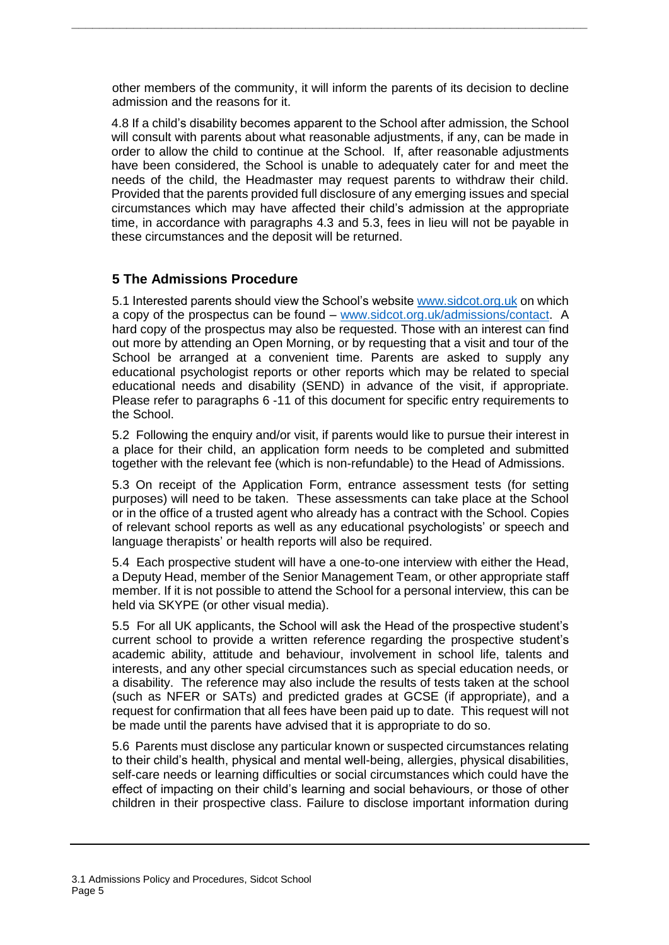other members of the community, it will inform the parents of its decision to decline admission and the reasons for it.

**\_\_\_\_\_\_\_\_\_\_\_\_\_\_\_\_\_\_\_\_\_\_\_\_\_\_\_\_\_\_\_\_\_\_\_\_\_\_\_\_\_\_\_\_\_\_\_\_\_\_\_\_\_\_\_\_\_\_\_\_\_\_\_\_\_\_\_\_\_\_\_\_\_\_\_**

4.8 If a child's disability becomes apparent to the School after admission, the School will consult with parents about what reasonable adjustments, if any, can be made in order to allow the child to continue at the School. If, after reasonable adjustments have been considered, the School is unable to adequately cater for and meet the needs of the child, the Headmaster may request parents to withdraw their child. Provided that the parents provided full disclosure of any emerging issues and special circumstances which may have affected their child's admission at the appropriate time, in accordance with paragraphs 4.3 and 5.3, fees in lieu will not be payable in these circumstances and the deposit will be returned.

## <span id="page-4-0"></span>**5 The Admissions Procedure**

5.1 Interested parents should view the School's website [www.sidcot.org.uk](http://www.sidcot.org.uk/) on which a copy of the prospectus can be found – [www.sidcot.org.uk/admissions/contact.](file://///SIDCOT.LOCAL/SIDCOT-DFS/Confidential/Policies/Policies%20under%20review/Policies%20for%20upload%20to%20master/www.sidcot.org.uk/admissions/contact) A hard copy of the prospectus may also be requested. Those with an interest can find out more by attending an Open Morning, or by requesting that a visit and tour of the School be arranged at a convenient time. Parents are asked to supply any educational psychologist reports or other reports which may be related to special educational needs and disability (SEND) in advance of the visit, if appropriate. Please refer to paragraphs 6 -11 of this document for specific entry requirements to the School.

5.2 Following the enquiry and/or visit, if parents would like to pursue their interest in a place for their child, an application form needs to be completed and submitted together with the relevant fee (which is non-refundable) to the Head of Admissions.

5.3 On receipt of the Application Form, entrance assessment tests (for setting purposes) will need to be taken. These assessments can take place at the School or in the office of a trusted agent who already has a contract with the School. Copies of relevant school reports as well as any educational psychologists' or speech and language therapists' or health reports will also be required.

5.4 Each prospective student will have a one-to-one interview with either the Head, a Deputy Head, member of the Senior Management Team, or other appropriate staff member. If it is not possible to attend the School for a personal interview, this can be held via SKYPE (or other visual media).

5.5 For all UK applicants, the School will ask the Head of the prospective student's current school to provide a written reference regarding the prospective student's academic ability, attitude and behaviour, involvement in school life, talents and interests, and any other special circumstances such as special education needs, or a disability. The reference may also include the results of tests taken at the school (such as NFER or SATs) and predicted grades at GCSE (if appropriate), and a request for confirmation that all fees have been paid up to date. This request will not be made until the parents have advised that it is appropriate to do so.

5.6 Parents must disclose any particular known or suspected circumstances relating to their child's health, physical and mental well-being, allergies, physical disabilities, self-care needs or learning difficulties or social circumstances which could have the effect of impacting on their child's learning and social behaviours, or those of other children in their prospective class. Failure to disclose important information during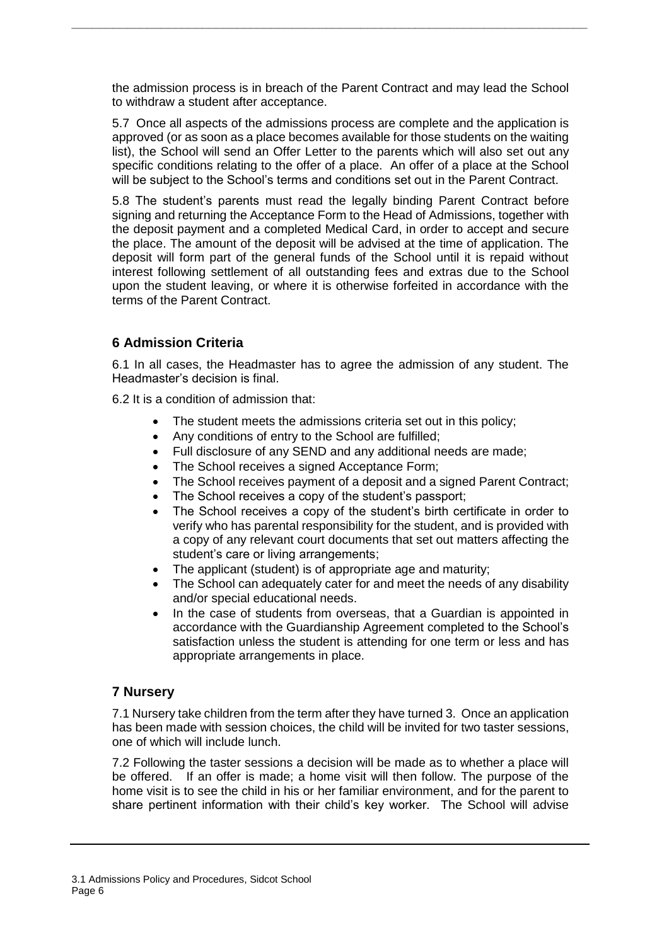the admission process is in breach of the Parent Contract and may lead the School to withdraw a student after acceptance.

**\_\_\_\_\_\_\_\_\_\_\_\_\_\_\_\_\_\_\_\_\_\_\_\_\_\_\_\_\_\_\_\_\_\_\_\_\_\_\_\_\_\_\_\_\_\_\_\_\_\_\_\_\_\_\_\_\_\_\_\_\_\_\_\_\_\_\_\_\_\_\_\_\_\_\_**

5.7 Once all aspects of the admissions process are complete and the application is approved (or as soon as a place becomes available for those students on the waiting list), the School will send an Offer Letter to the parents which will also set out any specific conditions relating to the offer of a place. An offer of a place at the School will be subject to the School's terms and conditions set out in the Parent Contract.

5.8 The student's parents must read the legally binding Parent Contract before signing and returning the Acceptance Form to the Head of Admissions, together with the deposit payment and a completed Medical Card, in order to accept and secure the place. The amount of the deposit will be advised at the time of application. The deposit will form part of the general funds of the School until it is repaid without interest following settlement of all outstanding fees and extras due to the School upon the student leaving, or where it is otherwise forfeited in accordance with the terms of the Parent Contract.

## <span id="page-5-0"></span>**6 Admission Criteria**

6.1 In all cases, the Headmaster has to agree the admission of any student. The Headmaster's decision is final.

6.2 It is a condition of admission that:

- The student meets the admissions criteria set out in this policy;
- Any conditions of entry to the School are fulfilled;
- Full disclosure of any SEND and any additional needs are made;
- The School receives a signed Acceptance Form:
- The School receives payment of a deposit and a signed Parent Contract;
- The School receives a copy of the student's passport;
- The School receives a copy of the student's birth certificate in order to verify who has parental responsibility for the student, and is provided with a copy of any relevant court documents that set out matters affecting the student's care or living arrangements;
- The applicant (student) is of appropriate age and maturity;
- The School can adequately cater for and meet the needs of any disability and/or special educational needs.
- In the case of students from overseas, that a Guardian is appointed in accordance with the Guardianship Agreement completed to the School's satisfaction unless the student is attending for one term or less and has appropriate arrangements in place.

### <span id="page-5-1"></span>**7 Nursery**

7.1 Nursery take children from the term after they have turned 3. Once an application has been made with session choices, the child will be invited for two taster sessions, one of which will include lunch.

7.2 Following the taster sessions a decision will be made as to whether a place will be offered. If an offer is made; a home visit will then follow. The purpose of the home visit is to see the child in his or her familiar environment, and for the parent to share pertinent information with their child's key worker. The School will advise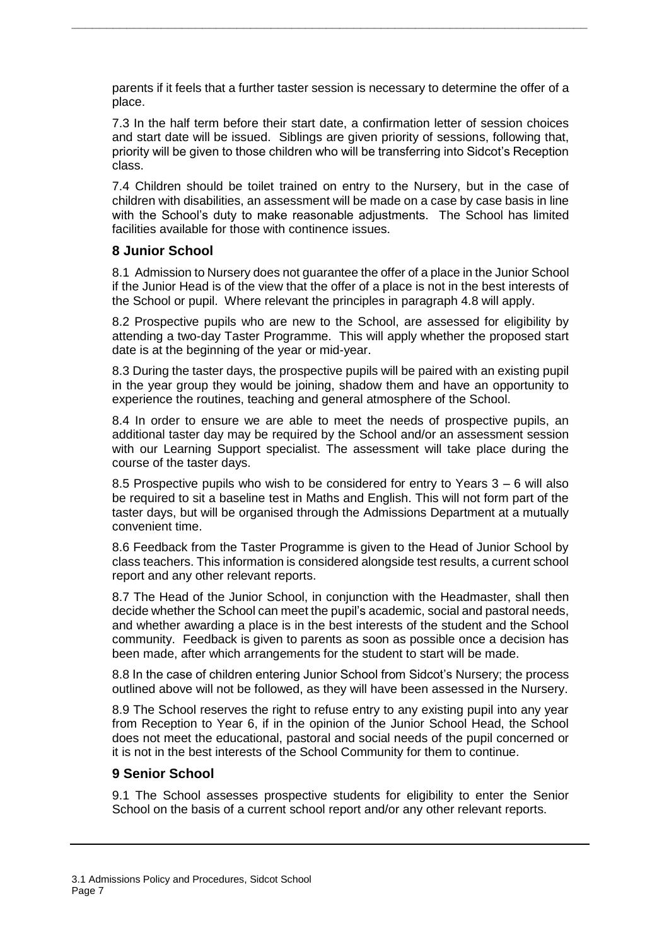parents if it feels that a further taster session is necessary to determine the offer of a place.

**\_\_\_\_\_\_\_\_\_\_\_\_\_\_\_\_\_\_\_\_\_\_\_\_\_\_\_\_\_\_\_\_\_\_\_\_\_\_\_\_\_\_\_\_\_\_\_\_\_\_\_\_\_\_\_\_\_\_\_\_\_\_\_\_\_\_\_\_\_\_\_\_\_\_\_**

7.3 In the half term before their start date, a confirmation letter of session choices and start date will be issued. Siblings are given priority of sessions, following that, priority will be given to those children who will be transferring into Sidcot's Reception class.

7.4 Children should be toilet trained on entry to the Nursery, but in the case of children with disabilities, an assessment will be made on a case by case basis in line with the School's duty to make reasonable adjustments. The School has limited facilities available for those with continence issues.

#### <span id="page-6-0"></span>**8 Junior School**

8.1 Admission to Nursery does not guarantee the offer of a place in the Junior School if the Junior Head is of the view that the offer of a place is not in the best interests of the School or pupil. Where relevant the principles in paragraph 4.8 will apply.

8.2 Prospective pupils who are new to the School, are assessed for eligibility by attending a two-day Taster Programme. This will apply whether the proposed start date is at the beginning of the year or mid-year.

8.3 During the taster days, the prospective pupils will be paired with an existing pupil in the year group they would be joining, shadow them and have an opportunity to experience the routines, teaching and general atmosphere of the School.

8.4 In order to ensure we are able to meet the needs of prospective pupils, an additional taster day may be required by the School and/or an assessment session with our Learning Support specialist. The assessment will take place during the course of the taster days.

8.5 Prospective pupils who wish to be considered for entry to Years 3 – 6 will also be required to sit a baseline test in Maths and English. This will not form part of the taster days, but will be organised through the Admissions Department at a mutually convenient time.

8.6 Feedback from the Taster Programme is given to the Head of Junior School by class teachers. This information is considered alongside test results, a current school report and any other relevant reports.

8.7 The Head of the Junior School, in conjunction with the Headmaster, shall then decide whether the School can meet the pupil's academic, social and pastoral needs, and whether awarding a place is in the best interests of the student and the School community. Feedback is given to parents as soon as possible once a decision has been made, after which arrangements for the student to start will be made.

8.8 In the case of children entering Junior School from Sidcot's Nursery; the process outlined above will not be followed, as they will have been assessed in the Nursery.

8.9 The School reserves the right to refuse entry to any existing pupil into any year from Reception to Year 6, if in the opinion of the Junior School Head, the School does not meet the educational, pastoral and social needs of the pupil concerned or it is not in the best interests of the School Community for them to continue.

#### <span id="page-6-1"></span>**9 Senior School**

9.1 The School assesses prospective students for eligibility to enter the Senior School on the basis of a current school report and/or any other relevant reports.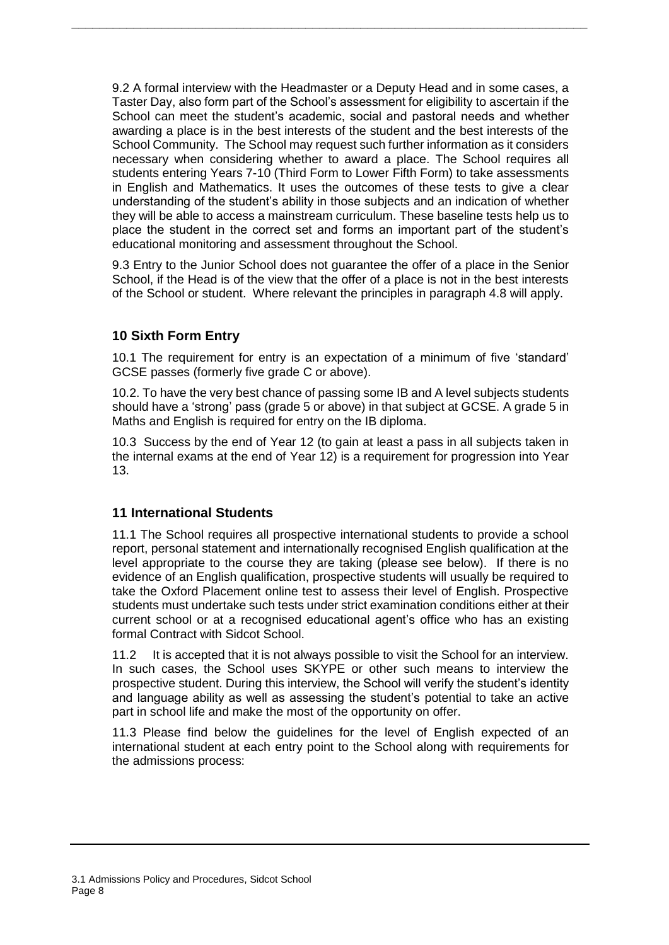9.2 A formal interview with the Headmaster or a Deputy Head and in some cases, a Taster Day, also form part of the School's assessment for eligibility to ascertain if the School can meet the student's academic, social and pastoral needs and whether awarding a place is in the best interests of the student and the best interests of the School Community. The School may request such further information as it considers necessary when considering whether to award a place. The School requires all students entering Years 7-10 (Third Form to Lower Fifth Form) to take assessments in English and Mathematics. It uses the outcomes of these tests to give a clear understanding of the student's ability in those subjects and an indication of whether they will be able to access a mainstream curriculum. These baseline tests help us to place the student in the correct set and forms an important part of the student's educational monitoring and assessment throughout the School.

**\_\_\_\_\_\_\_\_\_\_\_\_\_\_\_\_\_\_\_\_\_\_\_\_\_\_\_\_\_\_\_\_\_\_\_\_\_\_\_\_\_\_\_\_\_\_\_\_\_\_\_\_\_\_\_\_\_\_\_\_\_\_\_\_\_\_\_\_\_\_\_\_\_\_\_**

9.3 Entry to the Junior School does not guarantee the offer of a place in the Senior School, if the Head is of the view that the offer of a place is not in the best interests of the School or student. Where relevant the principles in paragraph 4.8 will apply.

## <span id="page-7-0"></span>**10 Sixth Form Entry**

10.1 The requirement for entry is an expectation of a minimum of five 'standard' GCSE passes (formerly five grade C or above).

10.2. To have the very best chance of passing some IB and A level subjects students should have a 'strong' pass (grade 5 or above) in that subject at GCSE. A grade 5 in Maths and English is required for entry on the IB diploma.

10.3 Success by the end of Year 12 (to gain at least a pass in all subjects taken in the internal exams at the end of Year 12) is a requirement for progression into Year 13.

### <span id="page-7-1"></span>**11 International Students**

11.1 The School requires all prospective international students to provide a school report, personal statement and internationally recognised English qualification at the level appropriate to the course they are taking (please see below). If there is no evidence of an English qualification, prospective students will usually be required to take the Oxford Placement online test to assess their level of English. Prospective students must undertake such tests under strict examination conditions either at their current school or at a recognised educational agent's office who has an existing formal Contract with Sidcot School.

11.2 It is accepted that it is not always possible to visit the School for an interview. In such cases, the School uses SKYPE or other such means to interview the prospective student. During this interview, the School will verify the student's identity and language ability as well as assessing the student's potential to take an active part in school life and make the most of the opportunity on offer.

11.3 Please find below the guidelines for the level of English expected of an international student at each entry point to the School along with requirements for the admissions process: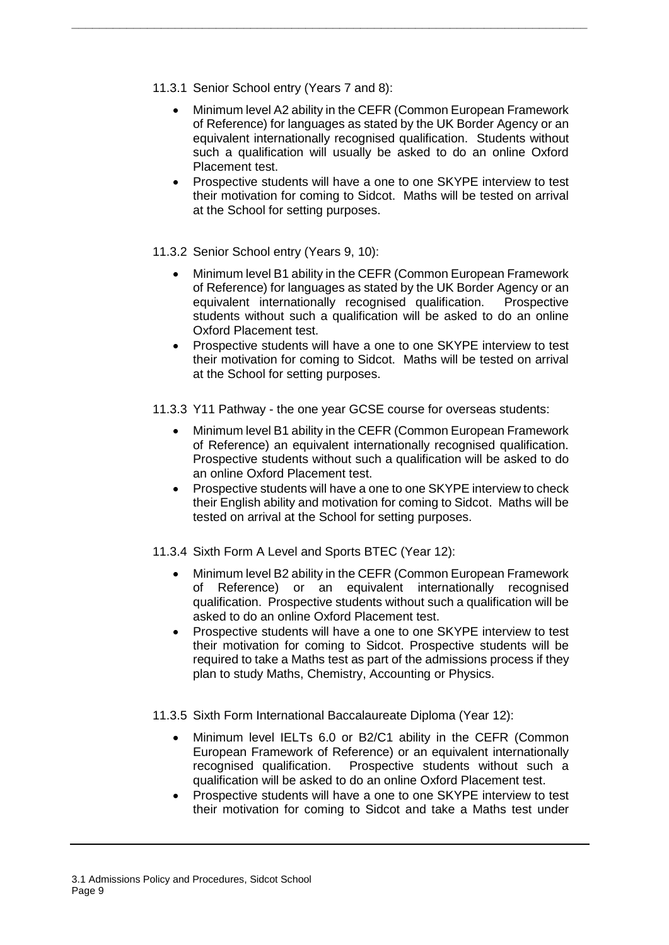- 11.3.1 Senior School entry (Years 7 and 8):
	- Minimum level A2 ability in the CEFR (Common European Framework of Reference) for languages as stated by the UK Border Agency or an equivalent internationally recognised qualification. Students without such a qualification will usually be asked to do an online Oxford Placement test.

**\_\_\_\_\_\_\_\_\_\_\_\_\_\_\_\_\_\_\_\_\_\_\_\_\_\_\_\_\_\_\_\_\_\_\_\_\_\_\_\_\_\_\_\_\_\_\_\_\_\_\_\_\_\_\_\_\_\_\_\_\_\_\_\_\_\_\_\_\_\_\_\_\_\_\_**

- Prospective students will have a one to one SKYPE interview to test their motivation for coming to Sidcot. Maths will be tested on arrival at the School for setting purposes.
- 11.3.2 Senior School entry (Years 9, 10):
	- Minimum level B1 ability in the CEFR (Common European Framework of Reference) for languages as stated by the UK Border Agency or an equivalent internationally recognised qualification. Prospective students without such a qualification will be asked to do an online Oxford Placement test.
	- Prospective students will have a one to one SKYPE interview to test their motivation for coming to Sidcot. Maths will be tested on arrival at the School for setting purposes.
- 11.3.3 Y11 Pathway the one year GCSE course for overseas students:
	- Minimum level B1 ability in the CEFR (Common European Framework of Reference) an equivalent internationally recognised qualification. Prospective students without such a qualification will be asked to do an online Oxford Placement test.
	- Prospective students will have a one to one SKYPE interview to check their English ability and motivation for coming to Sidcot. Maths will be tested on arrival at the School for setting purposes.
- 11.3.4 Sixth Form A Level and Sports BTEC (Year 12):
	- Minimum level B2 ability in the CEFR (Common European Framework of Reference) or an equivalent internationally recognised qualification. Prospective students without such a qualification will be asked to do an online Oxford Placement test.
	- Prospective students will have a one to one SKYPE interview to test their motivation for coming to Sidcot. Prospective students will be required to take a Maths test as part of the admissions process if they plan to study Maths, Chemistry, Accounting or Physics.
- 11.3.5 Sixth Form International Baccalaureate Diploma (Year 12):
	- Minimum level IELTs 6.0 or B2/C1 ability in the CEFR (Common European Framework of Reference) or an equivalent internationally recognised qualification. Prospective students without such a qualification will be asked to do an online Oxford Placement test.
	- Prospective students will have a one to one SKYPE interview to test their motivation for coming to Sidcot and take a Maths test under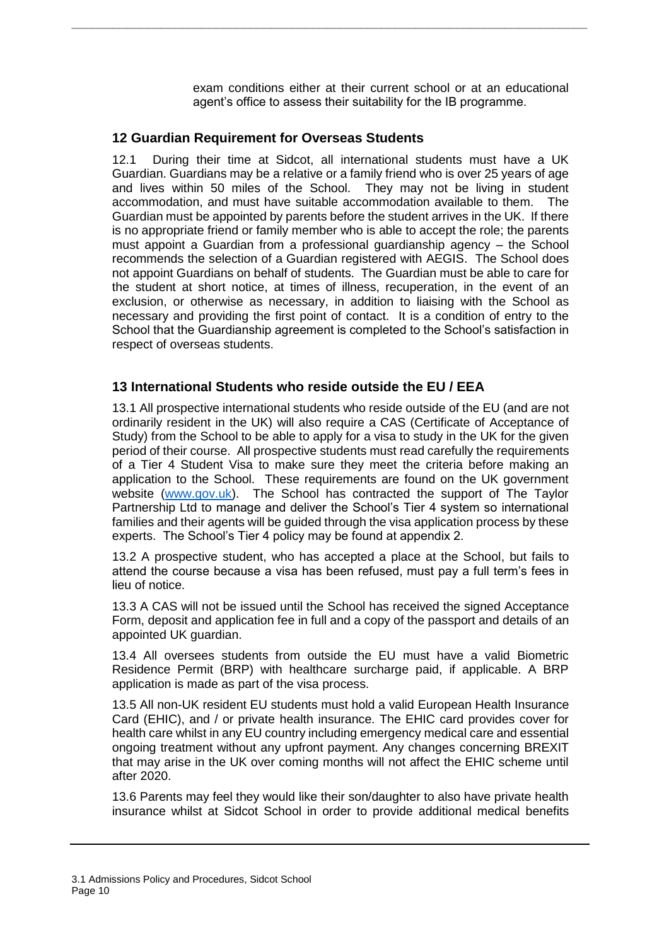exam conditions either at their current school or at an educational agent's office to assess their suitability for the IB programme.

#### <span id="page-9-0"></span>**12 Guardian Requirement for Overseas Students**

12.1 During their time at Sidcot, all international students must have a UK Guardian. Guardians may be a relative or a family friend who is over 25 years of age and lives within 50 miles of the School. They may not be living in student accommodation, and must have suitable accommodation available to them. The Guardian must be appointed by parents before the student arrives in the UK. If there is no appropriate friend or family member who is able to accept the role; the parents must appoint a Guardian from a professional guardianship agency – the School recommends the selection of a Guardian registered with AEGIS. The School does not appoint Guardians on behalf of students. The Guardian must be able to care for the student at short notice, at times of illness, recuperation, in the event of an exclusion, or otherwise as necessary, in addition to liaising with the School as necessary and providing the first point of contact. It is a condition of entry to the School that the Guardianship agreement is completed to the School's satisfaction in respect of overseas students.

**\_\_\_\_\_\_\_\_\_\_\_\_\_\_\_\_\_\_\_\_\_\_\_\_\_\_\_\_\_\_\_\_\_\_\_\_\_\_\_\_\_\_\_\_\_\_\_\_\_\_\_\_\_\_\_\_\_\_\_\_\_\_\_\_\_\_\_\_\_\_\_\_\_\_\_**

### <span id="page-9-1"></span>**13 International Students who reside outside the EU / EEA**

13.1 All prospective international students who reside outside of the EU (and are not ordinarily resident in the UK) will also require a CAS (Certificate of Acceptance of Study) from the School to be able to apply for a visa to study in the UK for the given period of their course. All prospective students must read carefully the requirements of a Tier 4 Student Visa to make sure they meet the criteria before making an application to the School. These requirements are found on the UK government website [\(www.gov.uk\)](http://www.gov.uk/). The School has contracted the support of The Taylor Partnership Ltd to manage and deliver the School's Tier 4 system so international families and their agents will be guided through the visa application process by these experts. The School's Tier 4 policy may be found at appendix 2.

13.2 A prospective student, who has accepted a place at the School, but fails to attend the course because a visa has been refused, must pay a full term's fees in lieu of notice.

13.3 A CAS will not be issued until the School has received the signed Acceptance Form, deposit and application fee in full and a copy of the passport and details of an appointed UK guardian.

13.4 All oversees students from outside the EU must have a valid Biometric Residence Permit (BRP) with healthcare surcharge paid, if applicable. A BRP application is made as part of the visa process.

13.5 All non-UK resident EU students must hold a valid European Health Insurance Card (EHIC), and / or private health insurance. The EHIC card provides cover for health care whilst in any EU country including emergency medical care and essential ongoing treatment without any upfront payment. Any changes concerning BREXIT that may arise in the UK over coming months will not affect the EHIC scheme until after 2020.

13.6 Parents may feel they would like their son/daughter to also have private health insurance whilst at Sidcot School in order to provide additional medical benefits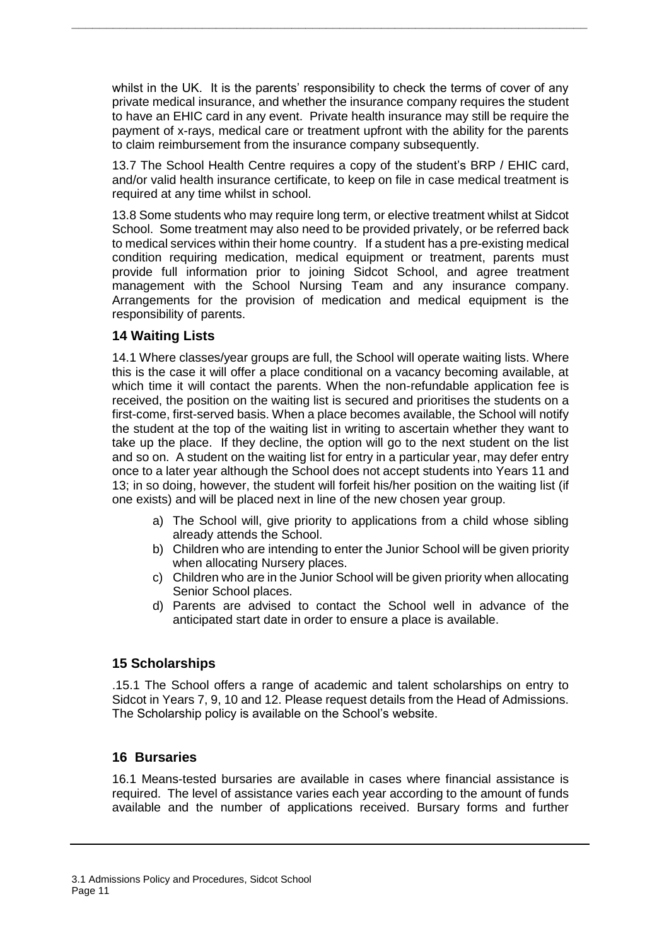whilst in the UK. It is the parents' responsibility to check the terms of cover of any private medical insurance, and whether the insurance company requires the student to have an EHIC card in any event. Private health insurance may still be require the payment of x-rays, medical care or treatment upfront with the ability for the parents to claim reimbursement from the insurance company subsequently.

**\_\_\_\_\_\_\_\_\_\_\_\_\_\_\_\_\_\_\_\_\_\_\_\_\_\_\_\_\_\_\_\_\_\_\_\_\_\_\_\_\_\_\_\_\_\_\_\_\_\_\_\_\_\_\_\_\_\_\_\_\_\_\_\_\_\_\_\_\_\_\_\_\_\_\_**

13.7 The School Health Centre requires a copy of the student's BRP / EHIC card, and/or valid health insurance certificate, to keep on file in case medical treatment is required at any time whilst in school.

13.8 Some students who may require long term, or elective treatment whilst at Sidcot School. Some treatment may also need to be provided privately, or be referred back to medical services within their home country. If a student has a pre-existing medical condition requiring medication, medical equipment or treatment, parents must provide full information prior to joining Sidcot School, and agree treatment management with the School Nursing Team and any insurance company. Arrangements for the provision of medication and medical equipment is the responsibility of parents.

### <span id="page-10-0"></span>**14 Waiting Lists**

14.1 Where classes/year groups are full, the School will operate waiting lists. Where this is the case it will offer a place conditional on a vacancy becoming available, at which time it will contact the parents. When the non-refundable application fee is received, the position on the waiting list is secured and prioritises the students on a first-come, first-served basis. When a place becomes available, the School will notify the student at the top of the waiting list in writing to ascertain whether they want to take up the place. If they decline, the option will go to the next student on the list and so on. A student on the waiting list for entry in a particular year, may defer entry once to a later year although the School does not accept students into Years 11 and 13; in so doing, however, the student will forfeit his/her position on the waiting list (if one exists) and will be placed next in line of the new chosen year group.

- a) The School will, give priority to applications from a child whose sibling already attends the School.
- b) Children who are intending to enter the Junior School will be given priority when allocating Nursery places.
- c) Children who are in the Junior School will be given priority when allocating Senior School places.
- d) Parents are advised to contact the School well in advance of the anticipated start date in order to ensure a place is available.

### <span id="page-10-1"></span>**15 Scholarships**

.15.1 The School offers a range of academic and talent scholarships on entry to Sidcot in Years 7, 9, 10 and 12. Please request details from the Head of Admissions. The Scholarship policy is available on the School's website.

### <span id="page-10-2"></span>**16 Bursaries**

16.1 Means-tested bursaries are available in cases where financial assistance is required. The level of assistance varies each year according to the amount of funds available and the number of applications received. Bursary forms and further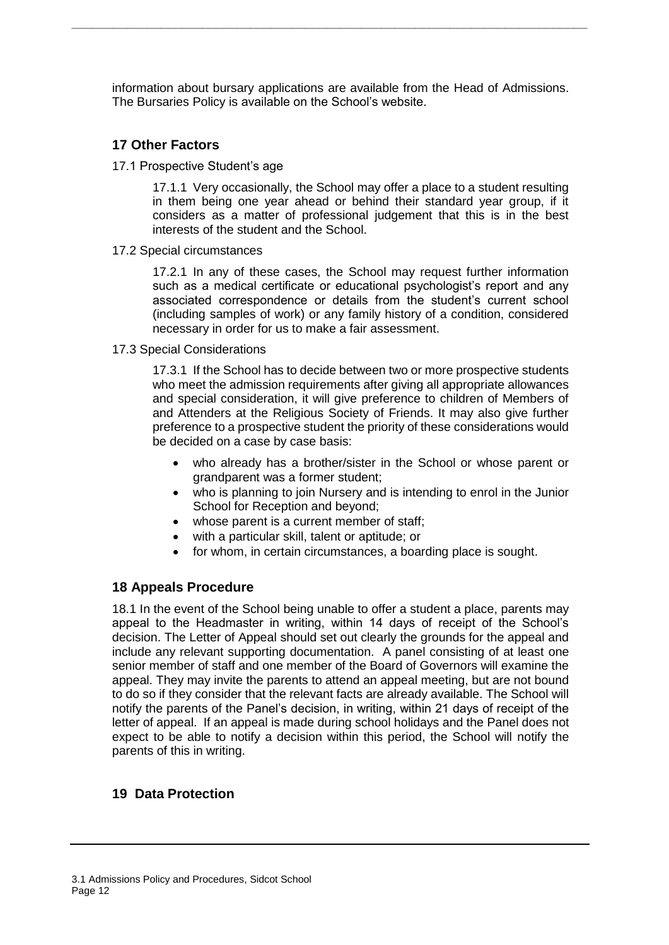information about bursary applications are available from the Head of Admissions. The Bursaries Policy is available on the School's website.

**\_\_\_\_\_\_\_\_\_\_\_\_\_\_\_\_\_\_\_\_\_\_\_\_\_\_\_\_\_\_\_\_\_\_\_\_\_\_\_\_\_\_\_\_\_\_\_\_\_\_\_\_\_\_\_\_\_\_\_\_\_\_\_\_\_\_\_\_\_\_\_\_\_\_\_**

## <span id="page-11-0"></span>**17 Other Factors**

17.1 Prospective Student's age

17.1.1 Very occasionally, the School may offer a place to a student resulting in them being one year ahead or behind their standard year group, if it considers as a matter of professional judgement that this is in the best interests of the student and the School.

17.2 Special circumstances

17.2.1 In any of these cases, the School may request further information such as a medical certificate or educational psychologist's report and any associated correspondence or details from the student's current school (including samples of work) or any family history of a condition, considered necessary in order for us to make a fair assessment.

17.3 Special Considerations

17.3.1 If the School has to decide between two or more prospective students who meet the admission requirements after giving all appropriate allowances and special consideration, it will give preference to children of Members of and Attenders at the Religious Society of Friends. It may also give further preference to a prospective student the priority of these considerations would be decided on a case by case basis:

- who already has a brother/sister in the School or whose parent or grandparent was a former student;
- who is planning to join Nursery and is intending to enrol in the Junior School for Reception and beyond;
- whose parent is a current member of staff;
- with a particular skill, talent or aptitude; or
- for whom, in certain circumstances, a boarding place is sought.

### <span id="page-11-1"></span>**18 Appeals Procedure**

18.1 In the event of the School being unable to offer a student a place, parents may appeal to the Headmaster in writing, within 14 days of receipt of the School's decision. The Letter of Appeal should set out clearly the grounds for the appeal and include any relevant supporting documentation. A panel consisting of at least one senior member of staff and one member of the Board of Governors will examine the appeal. They may invite the parents to attend an appeal meeting, but are not bound to do so if they consider that the relevant facts are already available. The School will notify the parents of the Panel's decision, in writing, within 21 days of receipt of the letter of appeal. If an appeal is made during school holidays and the Panel does not expect to be able to notify a decision within this period, the School will notify the parents of this in writing.

### <span id="page-11-2"></span>**19 Data Protection**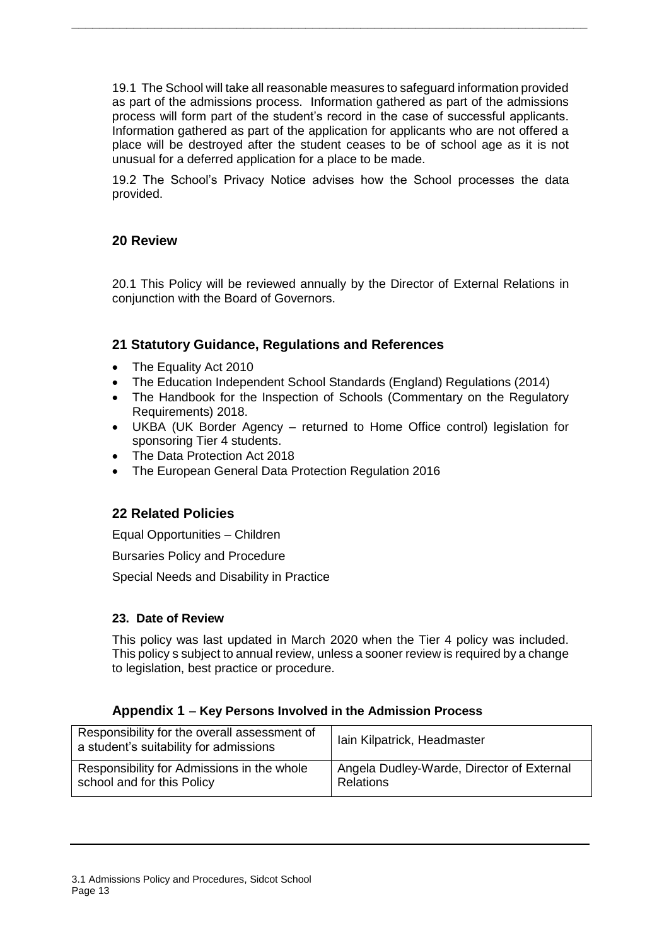19.1 The School will take all reasonable measures to safeguard information provided as part of the admissions process. Information gathered as part of the admissions process will form part of the student's record in the case of successful applicants. Information gathered as part of the application for applicants who are not offered a place will be destroyed after the student ceases to be of school age as it is not unusual for a deferred application for a place to be made.

**\_\_\_\_\_\_\_\_\_\_\_\_\_\_\_\_\_\_\_\_\_\_\_\_\_\_\_\_\_\_\_\_\_\_\_\_\_\_\_\_\_\_\_\_\_\_\_\_\_\_\_\_\_\_\_\_\_\_\_\_\_\_\_\_\_\_\_\_\_\_\_\_\_\_\_**

19.2 The School's Privacy Notice advises how the School processes the data provided.

### <span id="page-12-0"></span>**20 Review**

20.1 This Policy will be reviewed annually by the Director of External Relations in conjunction with the Board of Governors.

#### <span id="page-12-1"></span>**21 Statutory Guidance, Regulations and References**

- The Equality Act 2010
- The Education Independent School Standards (England) Regulations (2014)
- The Handbook for the Inspection of Schools (Commentary on the Regulatory Requirements) 2018.
- UKBA (UK Border Agency returned to Home Office control) legislation for sponsoring Tier 4 students.
- The Data Protection Act 2018
- The European General Data Protection Regulation 2016

#### <span id="page-12-2"></span>**22 Related Policies**

Equal Opportunities – Children

Bursaries Policy and Procedure

Special Needs and Disability in Practice

#### **23. Date of Review**

This policy was last updated in March 2020 when the Tier 4 policy was included. This policy s subject to annual review, unless a sooner review is required by a change to legislation, best practice or procedure.

#### **Appendix 1** – **Key Persons Involved in the Admission Process**

<span id="page-12-3"></span>

| Responsibility for the overall assessment of<br>a student's suitability for admissions | Iain Kilpatrick, Headmaster               |
|----------------------------------------------------------------------------------------|-------------------------------------------|
| Responsibility for Admissions in the whole                                             | Angela Dudley-Warde, Director of External |
| school and for this Policy                                                             | <b>Relations</b>                          |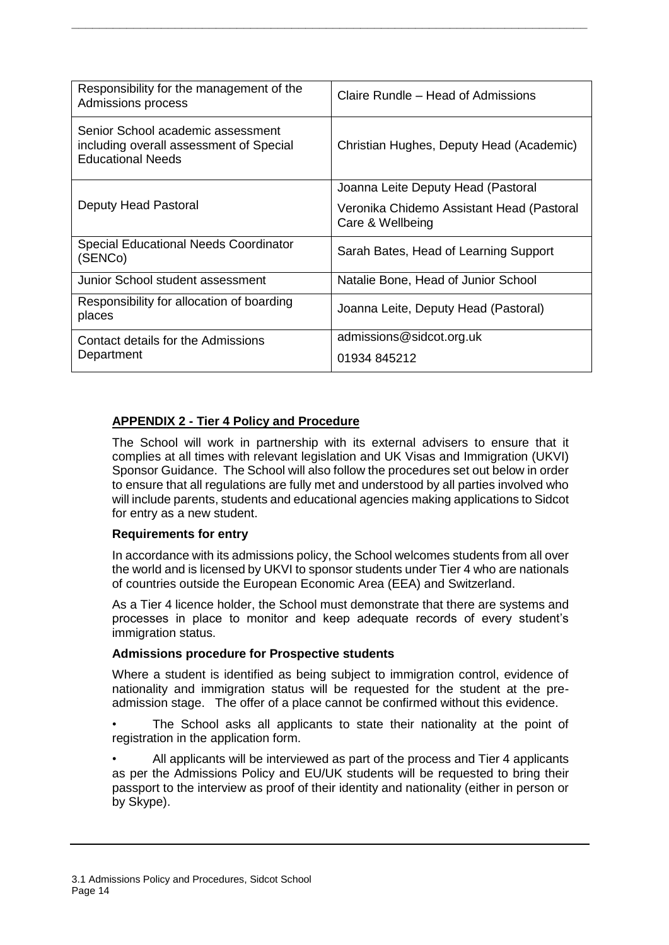| Responsibility for the management of the<br>Admissions process                                           | Claire Rundle – Head of Admissions                            |
|----------------------------------------------------------------------------------------------------------|---------------------------------------------------------------|
| Senior School academic assessment<br>including overall assessment of Special<br><b>Educational Needs</b> | Christian Hughes, Deputy Head (Academic)                      |
|                                                                                                          | Joanna Leite Deputy Head (Pastoral                            |
| Deputy Head Pastoral                                                                                     | Veronika Chidemo Assistant Head (Pastoral<br>Care & Wellbeing |
| Special Educational Needs Coordinator<br>(SENCo)                                                         | Sarah Bates, Head of Learning Support                         |
| Junior School student assessment                                                                         | Natalie Bone, Head of Junior School                           |
| Responsibility for allocation of boarding<br>places                                                      | Joanna Leite, Deputy Head (Pastoral)                          |
| Contact details for the Admissions                                                                       | admissions@sidcot.org.uk                                      |
| Department                                                                                               | 01934 845212                                                  |

**\_\_\_\_\_\_\_\_\_\_\_\_\_\_\_\_\_\_\_\_\_\_\_\_\_\_\_\_\_\_\_\_\_\_\_\_\_\_\_\_\_\_\_\_\_\_\_\_\_\_\_\_\_\_\_\_\_\_\_\_\_\_\_\_\_\_\_\_\_\_\_\_\_\_\_**

## <span id="page-13-0"></span>**APPENDIX 2 - Tier 4 Policy and Procedure**

The School will work in partnership with its external advisers to ensure that it complies at all times with relevant legislation and UK Visas and Immigration (UKVI) Sponsor Guidance. The School will also follow the procedures set out below in order to ensure that all regulations are fully met and understood by all parties involved who will include parents, students and educational agencies making applications to Sidcot for entry as a new student.

### **Requirements for entry**

In accordance with its admissions policy, the School welcomes students from all over the world and is licensed by UKVI to sponsor students under Tier 4 who are nationals of countries outside the European Economic Area (EEA) and Switzerland.

As a Tier 4 licence holder, the School must demonstrate that there are systems and processes in place to monitor and keep adequate records of every student's immigration status.

### **Admissions procedure for Prospective students**

Where a student is identified as being subject to immigration control, evidence of nationality and immigration status will be requested for the student at the preadmission stage. The offer of a place cannot be confirmed without this evidence.

The School asks all applicants to state their nationality at the point of registration in the application form.

• All applicants will be interviewed as part of the process and Tier 4 applicants as per the Admissions Policy and EU/UK students will be requested to bring their passport to the interview as proof of their identity and nationality (either in person or by Skype).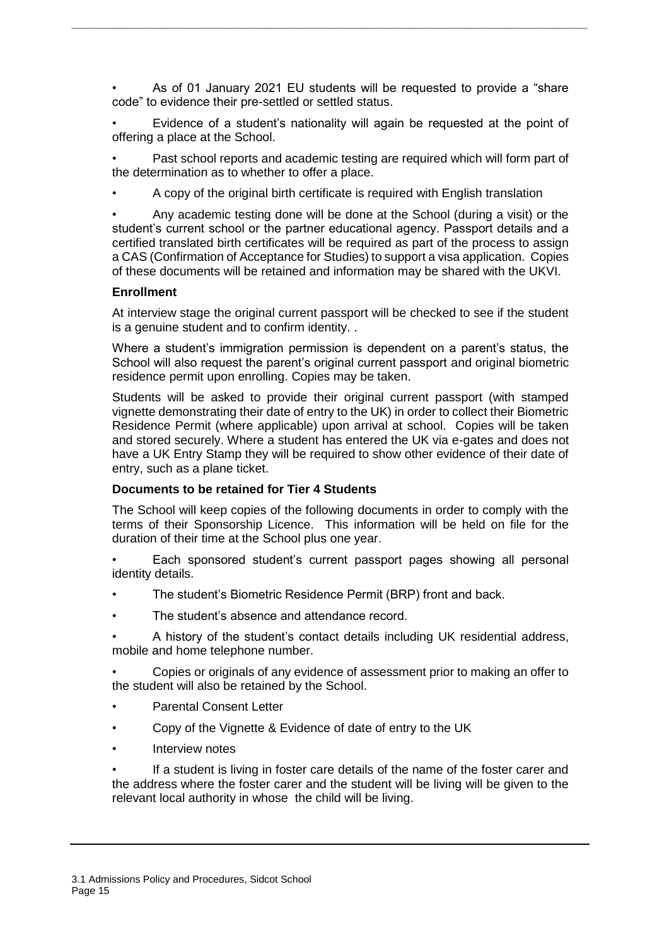• As of 01 January 2021 EU students will be requested to provide a "share code" to evidence their pre-settled or settled status.

**\_\_\_\_\_\_\_\_\_\_\_\_\_\_\_\_\_\_\_\_\_\_\_\_\_\_\_\_\_\_\_\_\_\_\_\_\_\_\_\_\_\_\_\_\_\_\_\_\_\_\_\_\_\_\_\_\_\_\_\_\_\_\_\_\_\_\_\_\_\_\_\_\_\_\_**

• Evidence of a student's nationality will again be requested at the point of offering a place at the School.

Past school reports and academic testing are required which will form part of the determination as to whether to offer a place.

• A copy of the original birth certificate is required with English translation

• Any academic testing done will be done at the School (during a visit) or the student's current school or the partner educational agency. Passport details and a certified translated birth certificates will be required as part of the process to assign a CAS (Confirmation of Acceptance for Studies) to support a visa application. Copies of these documents will be retained and information may be shared with the UKVI.

#### **Enrollment**

At interview stage the original current passport will be checked to see if the student is a genuine student and to confirm identity. .

Where a student's immigration permission is dependent on a parent's status, the School will also request the parent's original current passport and original biometric residence permit upon enrolling. Copies may be taken.

Students will be asked to provide their original current passport (with stamped vignette demonstrating their date of entry to the UK) in order to collect their Biometric Residence Permit (where applicable) upon arrival at school. Copies will be taken and stored securely. Where a student has entered the UK via e-gates and does not have a UK Entry Stamp they will be required to show other evidence of their date of entry, such as a plane ticket.

#### **Documents to be retained for Tier 4 Students**

The School will keep copies of the following documents in order to comply with the terms of their Sponsorship Licence. This information will be held on file for the duration of their time at the School plus one year.

• Each sponsored student's current passport pages showing all personal identity details.

- The student's Biometric Residence Permit (BRP) front and back.
- The student's absence and attendance record.
- A history of the student's contact details including UK residential address, mobile and home telephone number.

• Copies or originals of any evidence of assessment prior to making an offer to the student will also be retained by the School.

- Parental Consent Letter
- Copy of the Vignette & Evidence of date of entry to the UK
- Interview notes

If a student is living in foster care details of the name of the foster carer and the address where the foster carer and the student will be living will be given to the relevant local authority in whose the child will be living.